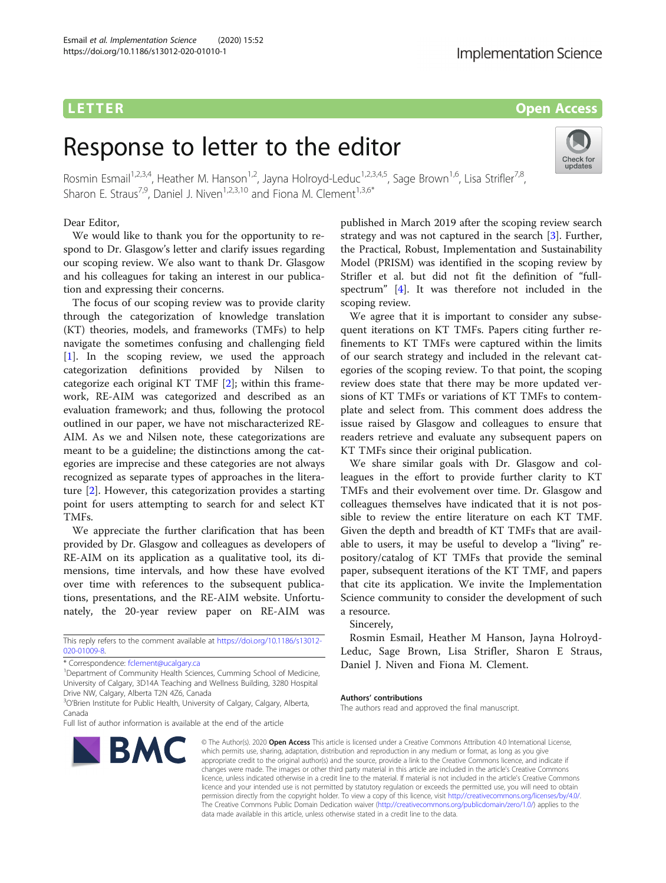# **LETTER** Open Access

Check for updates

# Response to letter to the editor

Rosmin Esmail<sup>1,2,3,4</sup>, Heather M. Hanson<sup>1,2</sup>, Jayna Holroyd-Leduc<sup>1,2,3,4,5</sup>, Sage Brown<sup>1,6</sup>, Lisa Strifler<sup>7,8</sup>, Sharon E. Straus<sup>7,9</sup>, Daniel J. Niven<sup>1,2,3,10</sup> and Fiona M. Clement<sup>1,3,6\*</sup>

## Dear Editor,

We would like to thank you for the opportunity to respond to Dr. Glasgow's letter and clarify issues regarding our scoping review. We also want to thank Dr. Glasgow and his colleagues for taking an interest in our publication and expressing their concerns.

The focus of our scoping review was to provide clarity through the categorization of knowledge translation (KT) theories, models, and frameworks (TMFs) to help navigate the sometimes confusing and challenging field [[1\]](#page-1-0). In the scoping review, we used the approach categorization definitions provided by Nilsen to categorize each original KT TMF [[2\]](#page-1-0); within this framework, RE-AIM was categorized and described as an evaluation framework; and thus, following the protocol outlined in our paper, we have not mischaracterized RE-AIM. As we and Nilsen note, these categorizations are meant to be a guideline; the distinctions among the categories are imprecise and these categories are not always recognized as separate types of approaches in the literature [[2\]](#page-1-0). However, this categorization provides a starting point for users attempting to search for and select KT TMFs.

We appreciate the further clarification that has been provided by Dr. Glasgow and colleagues as developers of RE-AIM on its application as a qualitative tool, its dimensions, time intervals, and how these have evolved over time with references to the subsequent publications, presentations, and the RE-AIM website. Unfortunately, the 20-year review paper on RE-AIM was

This reply refers to the comment available at [https://doi.org/10.1186/s13012-](https://doi.org/10.1186/s13012-020-01009-8) [020-01009-8](https://doi.org/10.1186/s13012-020-01009-8).

\* Correspondence: [fclement@ucalgary.ca](mailto:fclement@ucalgary.ca) <sup>1</sup>

<sup>1</sup>Department of Community Health Sciences, Cumming School of Medicine, University of Calgary, 3D14A Teaching and Wellness Building, 3280 Hospital Drive NW, Calgary, Alberta T2N 4Z6, Canada

Full list of author information is available at the end of the article



published in March 2019 after the scoping review search strategy and was not captured in the search [\[3](#page-1-0)]. Further, the Practical, Robust, Implementation and Sustainability Model (PRISM) was identified in the scoping review by Strifler et al. but did not fit the definition of "fullspectrum" [[4\]](#page-1-0). It was therefore not included in the scoping review.

We agree that it is important to consider any subsequent iterations on KT TMFs. Papers citing further refinements to KT TMFs were captured within the limits of our search strategy and included in the relevant categories of the scoping review. To that point, the scoping review does state that there may be more updated versions of KT TMFs or variations of KT TMFs to contemplate and select from. This comment does address the issue raised by Glasgow and colleagues to ensure that readers retrieve and evaluate any subsequent papers on KT TMFs since their original publication.

We share similar goals with Dr. Glasgow and colleagues in the effort to provide further clarity to KT TMFs and their evolvement over time. Dr. Glasgow and colleagues themselves have indicated that it is not possible to review the entire literature on each KT TMF. Given the depth and breadth of KT TMFs that are available to users, it may be useful to develop a "living" repository/catalog of KT TMFs that provide the seminal paper, subsequent iterations of the KT TMF, and papers that cite its application. We invite the Implementation Science community to consider the development of such a resource.

Sincerely,

Rosmin Esmail, Heather M Hanson, Jayna Holroyd-Leduc, Sage Brown, Lisa Strifler, Sharon E Straus, Daniel J. Niven and Fiona M. Clement.

#### Authors' contributions

The authors read and approved the final manuscript.

© The Author(s), 2020 **Open Access** This article is licensed under a Creative Commons Attribution 4.0 International License, which permits use, sharing, adaptation, distribution and reproduction in any medium or format, as long as you give appropriate credit to the original author(s) and the source, provide a link to the Creative Commons licence, and indicate if changes were made. The images or other third party material in this article are included in the article's Creative Commons licence, unless indicated otherwise in a credit line to the material. If material is not included in the article's Creative Commons licence and your intended use is not permitted by statutory regulation or exceeds the permitted use, you will need to obtain permission directly from the copyright holder. To view a copy of this licence, visit [http://creativecommons.org/licenses/by/4.0/.](http://creativecommons.org/licenses/by/4.0/) The Creative Commons Public Domain Dedication waiver [\(http://creativecommons.org/publicdomain/zero/1.0/](http://creativecommons.org/publicdomain/zero/1.0/)) applies to the data made available in this article, unless otherwise stated in a credit line to the data.

<sup>&</sup>lt;sup>3</sup>O'Brien Institute for Public Health, University of Calgary, Calgary, Alberta, Canada